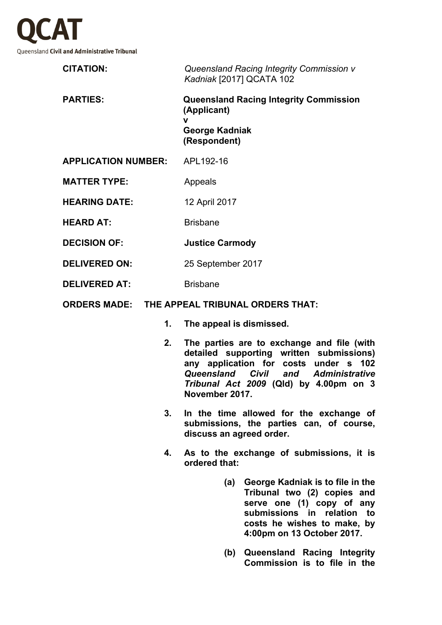

| <b>CITATION:</b>           | Queensland Racing Integrity Commission v<br>Kadniak [2017] QCATA 102                                |
|----------------------------|-----------------------------------------------------------------------------------------------------|
| <b>PARTIES:</b>            | <b>Queensland Racing Integrity Commission</b><br>(Applicant)<br>v<br>George Kadniak<br>(Respondent) |
| <b>APPLICATION NUMBER:</b> | APL192-16                                                                                           |
| <b>MATTER TYPE:</b>        | Appeals                                                                                             |
| <b>HEARING DATE:</b>       | 12 April 2017                                                                                       |
| <b>HEARD AT:</b>           | <b>Brisbane</b>                                                                                     |
| <b>DECISION OF:</b>        | <b>Justice Carmody</b>                                                                              |
| <b>DELIVERED ON:</b>       | 25 September 2017                                                                                   |

- **DELIVERED AT:** Brisbane
- **ORDERS MADE: THE APPEAL TRIBUNAL ORDERS THAT:**
	- **1. The appeal is dismissed.**
	- **2. The parties are to exchange and file (with detailed supporting written submissions) any application for costs under s 102**  *Queensland Civil and Administrative Tribunal Act 2009* **(Qld) by 4.00pm on 3 November 2017.**
	- **3. In the time allowed for the exchange of submissions, the parties can, of course, discuss an agreed order.**
	- **4. As to the exchange of submissions, it is ordered that:**
		- **(a) George Kadniak is to file in the Tribunal two (2) copies and serve one (1) copy of any submissions in relation to costs he wishes to make, by 4:00pm on 13 October 2017.**
		- **(b) Queensland Racing Integrity Commission is to file in the**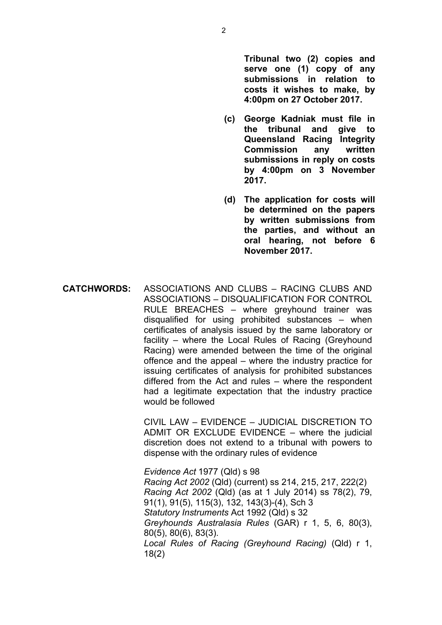**Tribunal two (2) copies and serve one (1) copy of any submissions in relation to costs it wishes to make, by 4:00pm on 27 October 2017.**

- **(c) George Kadniak must file in the tribunal and give to Queensland Racing Integrity Commission any written submissions in reply on costs by 4:00pm on 3 November 2017.**
- **(d) The application for costs will be determined on the papers by written submissions from the parties, and without an oral hearing, not before 6 November 2017.**
- **CATCHWORDS:** ASSOCIATIONS AND CLUBS RACING CLUBS AND ASSOCIATIONS – DISQUALIFICATION FOR CONTROL RULE BREACHES – where greyhound trainer was disqualified for using prohibited substances – when certificates of analysis issued by the same laboratory or facility – where the Local Rules of Racing (Greyhound Racing) were amended between the time of the original offence and the appeal – where the industry practice for issuing certificates of analysis for prohibited substances differed from the Act and rules – where the respondent had a legitimate expectation that the industry practice would be followed

CIVIL LAW – EVIDENCE – JUDICIAL DISCRETION TO ADMIT OR EXCLUDE EVIDENCE – where the judicial discretion does not extend to a tribunal with powers to dispense with the ordinary rules of evidence

*Evidence Act* 1977 (Qld) s 98 *Racing Act 2002* (Qld) (current) ss 214, 215, 217, 222(2) *Racing Act 2002* (Qld) (as at 1 July 2014) ss 78(2), 79, 91(1), 91(5), 115(3), 132, 143(3)-(4), Sch 3 *Statutory Instruments* Act 1992 (Qld) s 32 *Greyhounds Australasia Rules* (GAR) r 1, 5, 6, 80(3), 80(5), 80(6), 83(3). *Local Rules of Racing (Greyhound Racing)* (Qld) r 1, 18(2)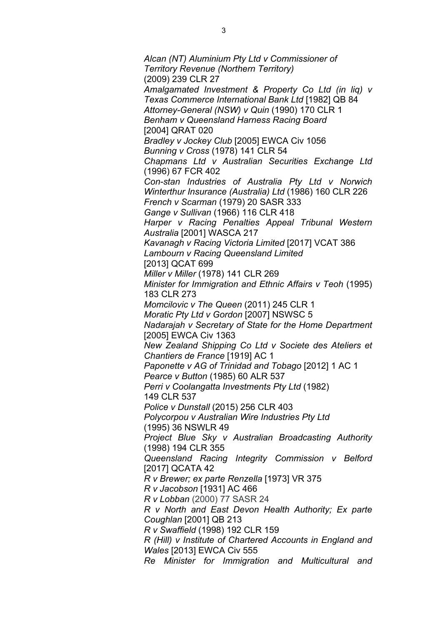*Alcan (NT) Aluminium Pty Ltd v Commissioner of Territory Revenue (Northern Territory)*  (2009) 239 CLR 27 *Amalgamated Investment & Property Co Ltd (in liq) v Texas Commerce International Bank Ltd* [1982] QB 84 *Attorney-General (NSW) v Quin* (1990) 170 CLR 1 *Benham v Queensland Harness Racing Board*  [2004] QRAT 020 *Bradley v Jockey Club* [2005] EWCA Civ 1056 *Bunning v Cross* (1978) 141 CLR 54 *Chapmans Ltd v Australian Securities Exchange Ltd*  (1996) 67 FCR 402 *Con-stan Industries of Australia Pty Ltd v Norwich Winterthur Insurance (Australia) Ltd* (1986) 160 CLR 226 *French v Scarman* (1979) 20 SASR 333 *Gange v Sullivan* (1966) 116 CLR 418 *Harper v Racing Penalties Appeal Tribunal Western Australia* [2001] WASCA 217 *Kavanagh v Racing Victoria Limited* [2017] VCAT 386 *Lambourn v Racing Queensland Limited*  [2013] QCAT 699 *Miller v Miller* (1978) 141 CLR 269 *Minister for Immigration and Ethnic Affairs v Teoh* (1995) 183 CLR 273 *Momcilovic v The Queen* (2011) 245 CLR 1 *Moratic Pty Ltd v Gordon* [2007] NSWSC 5 *Nadarajah v Secretary of State for the Home Department* [2005] EWCA Civ 1363 *New Zealand Shipping Co Ltd v Societe des Ateliers et Chantiers de France* [1919] AC 1 *Paponette v AG of Trinidad and Tobago* [2012] 1 AC 1 *Pearce v Button* (1985) 60 ALR 537 *Perri v Coolangatta Investments Pty Ltd* (1982) 149 CLR 537 *Police v Dunstall* (2015) 256 CLR 403 *Polycorpou v Australian Wire Industries Pty Ltd*  (1995) 36 NSWLR 49 *Project Blue Sky v Australian Broadcasting Authority*  (1998) 194 CLR 355 *Queensland Racing Integrity Commission v Belford*  [2017] QCATA 42 *R v Brewer; ex parte Renzella* [1973] VR 375 *R v Jacobson* [1931] AC 466 *R v Lobban* (2000) 77 SASR 24 *R v North and East Devon Health Authority; Ex parte Coughlan* [2001] QB 213 *R v Swaffield* (1998) 192 CLR 159 *R (Hill) v Institute of Chartered Accounts in England and Wales* [2013] EWCA Civ 555 *Re Minister for Immigration and Multicultural and*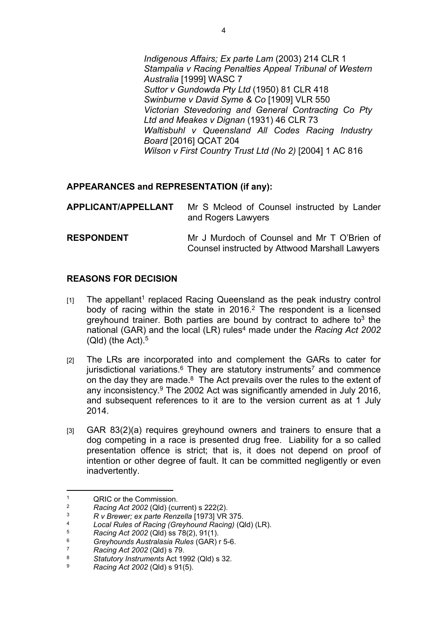*Indigenous Affairs; Ex parte Lam* (2003) 214 CLR 1 *Stampalia v Racing Penalties Appeal Tribunal of Western Australia* [1999] WASC 7 *Suttor v Gundowda Pty Ltd* (1950) 81 CLR 418 *Swinburne v David Syme & Co* [1909] VLR 550 *Victorian Stevedoring and General Contracting Co Pty Ltd and Meakes v Dignan* (1931) 46 CLR 73 *Waltisbuhl v Queensland All Codes Racing Industry Board* [2016] QCAT 204 *Wilson v First Country Trust Ltd (No 2)* [2004] 1 AC 816

# **APPEARANCES and REPRESENTATION (if any):**

| <b>APPLICANT/APPELLANT</b> | Mr S Mcleod of Counsel instructed by Lander<br>and Rogers Lawyers                             |
|----------------------------|-----------------------------------------------------------------------------------------------|
| <b>RESPONDENT</b>          | Mr J Murdoch of Counsel and Mr T O'Brien of<br>Counsel instructed by Attwood Marshall Lawyers |

# **REASONS FOR DECISION**

- [1] The appellant<sup>1</sup> replaced Racing Queensland as the peak industry control body of racing within the state in  $2016<sup>2</sup>$  The respondent is a licensed greyhound trainer. Both parties are bound by contract to adhere to<sup>3</sup> the national (GAR) and the local (LR) rules<sup>4</sup> made under the *Racing Act 2002*  $(Qld)$  (the Act).<sup>5</sup>
- [2] The LRs are incorporated into and complement the GARs to cater for jurisdictional variations.<sup>6</sup> They are statutory instruments<sup>7</sup> and commence on the day they are made. $8$  The Act prevails over the rules to the extent of any inconsistency.<sup>9</sup> The 2002 Act was significantly amended in July 2016, and subsequent references to it are to the version current as at 1 July 2014.
- [3] GAR 83(2)(a) requires greyhound owners and trainers to ensure that a dog competing in a race is presented drug free. Liability for a so called presentation offence is strict; that is, it does not depend on proof of intention or other degree of fault. It can be committed negligently or even inadvertently.

<sup>1</sup> <sup>1</sup> QRIC or the Commission.<br><sup>2</sup> Pacing Act 2002 (Old) (cu

<sup>&</sup>lt;sup>2</sup> *Racing Act 2002* (Qld) (current) s 222(2).

<sup>3</sup> *R v Brewer; ex parte Renzella* [1973] VR 375.

<sup>4</sup> *Local Rules of Racing (Greyhound Racing)* (Qld) (LR).

<sup>5</sup> *Racing Act 2002* (Qld) ss 78(2), 91(1).

<sup>6</sup> *Greyhounds Australasia Rules* (GAR) r 5-6.

<sup>7</sup> *Racing Act 2002* (Qld) s 79.

<sup>8</sup> *Statutory Instruments* Act 1992 (Qld) s 32.

<sup>9</sup> *Racing Act 2002* (Qld) s 91(5).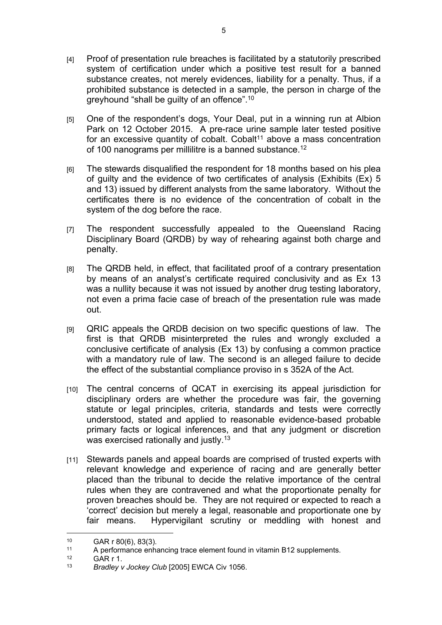- [4] Proof of presentation rule breaches is facilitated by a statutorily prescribed system of certification under which a positive test result for a banned substance creates, not merely evidences, liability for a penalty. Thus, if a prohibited substance is detected in a sample, the person in charge of the greyhound "shall be guilty of an offence".<sup>10</sup>
- [5] One of the respondent's dogs, Your Deal, put in a winning run at Albion Park on 12 October 2015. A pre-race urine sample later tested positive for an excessive quantity of cobalt. Cobalt<sup>11</sup> above a mass concentration of 100 nanograms per millilitre is a banned substance.<sup>12</sup>
- [6] The stewards disqualified the respondent for 18 months based on his plea of guilty and the evidence of two certificates of analysis (Exhibits (Ex) 5 and 13) issued by different analysts from the same laboratory. Without the certificates there is no evidence of the concentration of cobalt in the system of the dog before the race.
- [7] The respondent successfully appealed to the Queensland Racing Disciplinary Board (QRDB) by way of rehearing against both charge and penalty.
- [8] The QRDB held, in effect, that facilitated proof of a contrary presentation by means of an analyst's certificate required conclusivity and as Ex 13 was a nullity because it was not issued by another drug testing laboratory, not even a prima facie case of breach of the presentation rule was made out.
- [9] QRIC appeals the QRDB decision on two specific questions of law. The first is that QRDB misinterpreted the rules and wrongly excluded a conclusive certificate of analysis (Ex 13) by confusing a common practice with a mandatory rule of law. The second is an alleged failure to decide the effect of the substantial compliance proviso in s 352A of the Act.
- [10] The central concerns of QCAT in exercising its appeal jurisdiction for disciplinary orders are whether the procedure was fair, the governing statute or legal principles, criteria, standards and tests were correctly understood, stated and applied to reasonable evidence-based probable primary facts or logical inferences, and that any judgment or discretion was exercised rationally and justly.<sup>13</sup>
- [11] Stewards panels and appeal boards are comprised of trusted experts with relevant knowledge and experience of racing and are generally better placed than the tribunal to decide the relative importance of the central rules when they are contravened and what the proportionate penalty for proven breaches should be. They are not required or expected to reach a 'correct' decision but merely a legal, reasonable and proportionate one by fair means. Hypervigilant scrutiny or meddling with honest and

<sup>10</sup> GAR r  $80(6)$ ,  $83(3)$ .

<sup>11</sup> A performance enhancing trace element found in vitamin B12 supplements.<br> $12$  CAB r 1

 $12$  GAR r 1.<br> $13$  Bradlevy

Bradley v Jockey Club [2005] EWCA Civ 1056.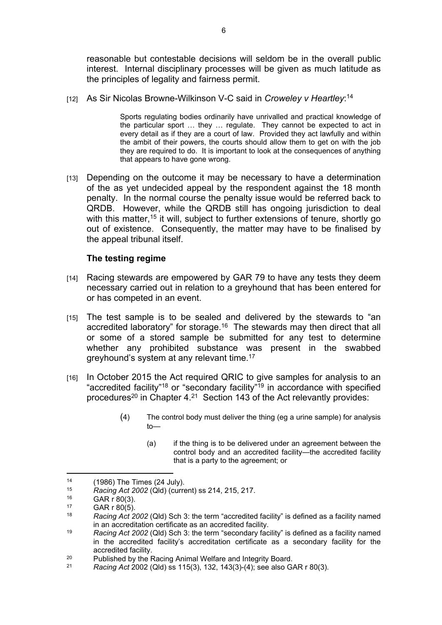reasonable but contestable decisions will seldom be in the overall public interest. Internal disciplinary processes will be given as much latitude as the principles of legality and fairness permit.

[12] As Sir Nicolas Browne-Wilkinson V-C said in *Croweley v Heartley*: 14

Sports regulating bodies ordinarily have unrivalled and practical knowledge of the particular sport … they … regulate. They cannot be expected to act in every detail as if they are a court of law. Provided they act lawfully and within the ambit of their powers, the courts should allow them to get on with the job they are required to do. It is important to look at the consequences of anything that appears to have gone wrong.

[13] Depending on the outcome it may be necessary to have a determination of the as yet undecided appeal by the respondent against the 18 month penalty. In the normal course the penalty issue would be referred back to QRDB. However, while the QRDB still has ongoing jurisdiction to deal with this matter,<sup>15</sup> it will, subject to further extensions of tenure, shortly go out of existence. Consequently, the matter may have to be finalised by the appeal tribunal itself.

## **The testing regime**

- [14] Racing stewards are empowered by GAR 79 to have any tests they deem necessary carried out in relation to a greyhound that has been entered for or has competed in an event.
- [15] The test sample is to be sealed and delivered by the stewards to "an accredited laboratory" for storage.<sup>16</sup> The stewards may then direct that all or some of a stored sample be submitted for any test to determine whether any prohibited substance was present in the swabbed greyhound's system at any relevant time.<sup>17</sup>
- [16] In October 2015 the Act required QRIC to give samples for analysis to an "accredited facility"<sup>18</sup> or "secondary facility"<sup>19</sup> in accordance with specified procedures<sup>20</sup> in Chapter  $4.21$  Section 143 of the Act relevantly provides:
	- (4) The control body must deliver the thing (eg a urine sample) for analysis  $t$ <sup> $-$ </sup>
		- (a) if the thing is to be delivered under an agreement between the control body and an accredited facility—the accredited facility that is a party to the agreement; or

<sup>&</sup>lt;sup>14</sup> (1986) The Times (24 July).<br> $\frac{15}{2000}$   $\frac{1}{2002}$  (Old) (currently)

<sup>15</sup> *Racing Act 2002* (Qld) (current) ss 214, 215, 217.

 $^{16}$  GAR r 80(3).

 $^{17}$  GAR r 80(5).

<sup>18</sup> *Racing Act 2002* (Qld) Sch 3: the term "accredited facility" is defined as a facility named in an accreditation certificate as an accredited facility.

<sup>19</sup> *Racing Act 2002* (Qld) Sch 3: the term "secondary facility" is defined as a facility named in the accredited facility's accreditation certificate as a secondary facility for the accredited facility.

<sup>&</sup>lt;sup>20</sup> Published by the Racing Animal Welfare and Integrity Board.<br><sup>21</sup> Pacing Act 2002 (Old) ss 115(3), 132, 143(3) (4); see also Gd

<sup>21</sup> *Racing Act* 2002 (Qld) ss 115(3), 132, 143(3)-(4); see also GAR r 80(3).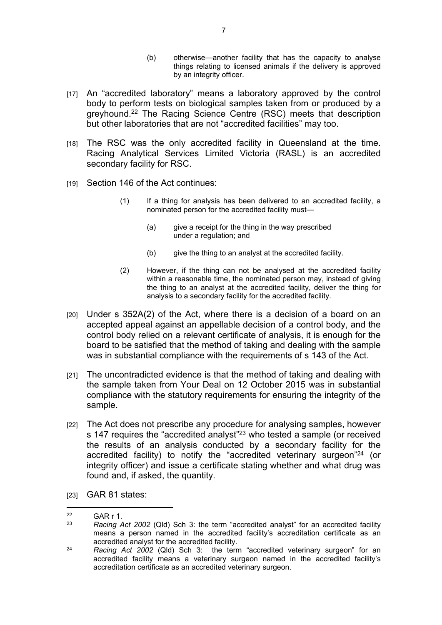- (b) otherwise—another facility that has the capacity to analyse things relating to licensed animals if the delivery is approved by an integrity officer.
- [17] An "accredited laboratory" means a laboratory approved by the control body to perform tests on biological samples taken from or produced by a greyhound.<sup>22</sup> The Racing Science Centre (RSC) meets that description but other laboratories that are not "accredited facilities" may too.
- [18] The RSC was the only accredited facility in Queensland at the time. Racing Analytical Services Limited Victoria (RASL) is an accredited secondary facility for RSC.
- [19] Section 146 of the Act continues:
	- (1) If a thing for analysis has been delivered to an accredited facility, a nominated person for the accredited facility must—
		- (a) give a receipt for the thing in the way prescribed under a regulation; and
		- (b) give the thing to an analyst at the accredited facility.
	- (2) However, if the thing can not be analysed at the accredited facility within a reasonable time, the nominated person may, instead of giving the thing to an analyst at the accredited facility, deliver the thing for analysis to a secondary facility for the accredited facility.
- $1201$  Under s 352A(2) of the Act, where there is a decision of a board on an accepted appeal against an appellable decision of a control body, and the control body relied on a relevant certificate of analysis, it is enough for the board to be satisfied that the method of taking and dealing with the sample was in substantial compliance with the requirements of s 143 of the Act.
- [21] The uncontradicted evidence is that the method of taking and dealing with the sample taken from Your Deal on 12 October 2015 was in substantial compliance with the statutory requirements for ensuring the integrity of the sample.
- [22] The Act does not prescribe any procedure for analysing samples, however s 147 requires the "accredited analyst"<sup>23</sup> who tested a sample (or received the results of an analysis conducted by a secondary facility for the accredited facility) to notify the "accredited veterinary surgeon"<sup>24</sup> (or integrity officer) and issue a certificate stating whether and what drug was found and, if asked, the quantity.
- [23] GAR 81 states:

<sup>&</sup>lt;sup>22</sup> GAR r 1.<br><sup>23</sup> Booing

<sup>23</sup> *Racing Act 2002* (Qld) Sch 3: the term "accredited analyst" for an accredited facility means a person named in the accredited facility's accreditation certificate as an accredited analyst for the accredited facility.

<sup>24</sup> *Racing Act 2002* (Qld) Sch 3: the term "accredited veterinary surgeon" for an accredited facility means a veterinary surgeon named in the accredited facility's accreditation certificate as an accredited veterinary surgeon.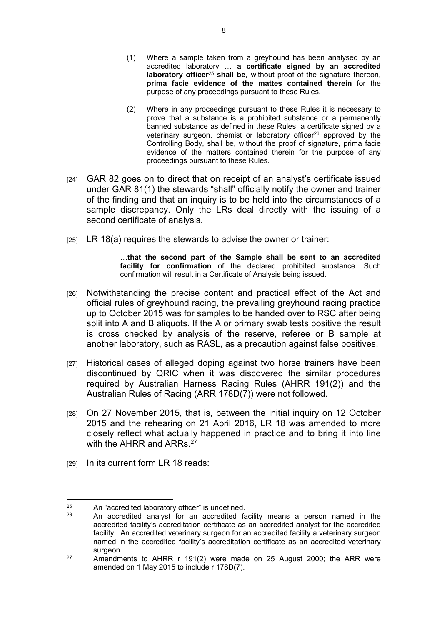- (1) Where a sample taken from a greyhound has been analysed by an accredited laboratory … **a certificate signed by an accredited laboratory officer**<sup>25</sup> **shall be**, without proof of the signature thereon, **prima facie evidence of the mattes contained therein** for the purpose of any proceedings pursuant to these Rules.
- (2) Where in any proceedings pursuant to these Rules it is necessary to prove that a substance is a prohibited substance or a permanently banned substance as defined in these Rules, a certificate signed by a veterinary surgeon, chemist or laboratory officer<sup>26</sup> approved by the Controlling Body, shall be, without the proof of signature, prima facie evidence of the matters contained therein for the purpose of any proceedings pursuant to these Rules.
- [24] GAR 82 goes on to direct that on receipt of an analyst's certificate issued under GAR 81(1) the stewards "shall" officially notify the owner and trainer of the finding and that an inquiry is to be held into the circumstances of a sample discrepancy. Only the LRs deal directly with the issuing of a second certificate of analysis.
- $[25]$  LR 18(a) requires the stewards to advise the owner or trainer:

…**that the second part of the Sample shall be sent to an accredited facility for confirmation** of the declared prohibited substance. Such confirmation will result in a Certificate of Analysis being issued.

- [26] Notwithstanding the precise content and practical effect of the Act and official rules of greyhound racing, the prevailing greyhound racing practice up to October 2015 was for samples to be handed over to RSC after being split into A and B aliquots. If the A or primary swab tests positive the result is cross checked by analysis of the reserve, referee or B sample at another laboratory, such as RASL, as a precaution against false positives.
- [27] Historical cases of alleged doping against two horse trainers have been discontinued by QRIC when it was discovered the similar procedures required by Australian Harness Racing Rules (AHRR 191(2)) and the Australian Rules of Racing (ARR 178D(7)) were not followed.
- [28] On 27 November 2015, that is, between the initial inquiry on 12 October 2015 and the rehearing on 21 April 2016, LR 18 was amended to more closely reflect what actually happened in practice and to bring it into line with the AHRR and ARRs <sup>27</sup>
- [29] In its current form LR 18 reads:

 $25$  An "accredited laboratory officer" is undefined.<br> $26$  An accredited applyet for an accredited for

<sup>26</sup> An accredited analyst for an accredited facility means a person named in the accredited facility's accreditation certificate as an accredited analyst for the accredited facility. An accredited veterinary surgeon for an accredited facility a veterinary surgeon named in the accredited facility's accreditation certificate as an accredited veterinary surgeon.

<sup>&</sup>lt;sup>27</sup> Amendments to AHRR r 191(2) were made on 25 August 2000; the ARR were amended on 1 May 2015 to include r 178D(7).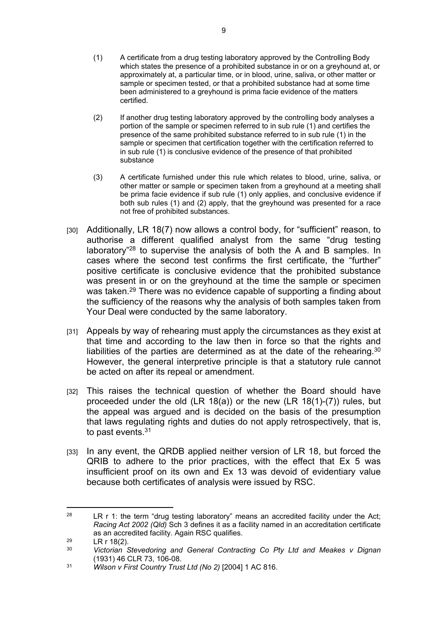- (1) A certificate from a drug testing laboratory approved by the Controlling Body which states the presence of a prohibited substance in or on a greyhound at, or approximately at, a particular time, or in blood, urine, saliva, or other matter or sample or specimen tested, or that a prohibited substance had at some time been administered to a greyhound is prima facie evidence of the matters certified.
- (2) If another drug testing laboratory approved by the controlling body analyses a portion of the sample or specimen referred to in sub rule (1) and certifies the presence of the same prohibited substance referred to in sub rule (1) in the sample or specimen that certification together with the certification referred to in sub rule (1) is conclusive evidence of the presence of that prohibited substance
- (3) A certificate furnished under this rule which relates to blood, urine, saliva, or other matter or sample or specimen taken from a greyhound at a meeting shall be prima facie evidence if sub rule (1) only applies, and conclusive evidence if both sub rules (1) and (2) apply, that the greyhound was presented for a race not free of prohibited substances.
- [30] Additionally, LR 18(7) now allows a control body, for "sufficient" reason, to authorise a different qualified analyst from the same "drug testing laboratory"<sup>28</sup> to supervise the analysis of both the A and B samples. In cases where the second test confirms the first certificate, the "further" positive certificate is conclusive evidence that the prohibited substance was present in or on the greyhound at the time the sample or specimen was taken.<sup>29</sup> There was no evidence capable of supporting a finding about the sufficiency of the reasons why the analysis of both samples taken from Your Deal were conducted by the same laboratory.
- [31] Appeals by way of rehearing must apply the circumstances as they exist at that time and according to the law then in force so that the rights and liabilities of the parties are determined as at the date of the rehearing.<sup>30</sup> However, the general interpretive principle is that a statutory rule cannot be acted on after its repeal or amendment.
- [32] This raises the technical question of whether the Board should have proceeded under the old (LR 18(a)) or the new (LR 18(1)-(7)) rules, but the appeal was argued and is decided on the basis of the presumption that laws regulating rights and duties do not apply retrospectively, that is, to past events.<sup>31</sup>
- [33] In any event, the QRDB applied neither version of LR 18, but forced the QRIB to adhere to the prior practices, with the effect that Ex 5 was insufficient proof on its own and Ex 13 was devoid of evidentiary value because both certificates of analysis were issued by RSC.

<sup>&</sup>lt;sup>28</sup> LR r 1: the term "drug testing laboratory" means an accredited facility under the Act; *Racing Act 2002 (Qld)* Sch 3 defines it as a facility named in an accreditation certificate as an accredited facility. Again RSC qualifies.

<sup>&</sup>lt;sup>29</sup> LR r 18(2).

<sup>30</sup> *Victorian Stevedoring and General Contracting Co Pty Ltd and Meakes v Dignan*  (1931) 46 CLR 73, 106-08.

<sup>31</sup> *Wilson v First Country Trust Ltd (No 2)* [2004] 1 AC 816.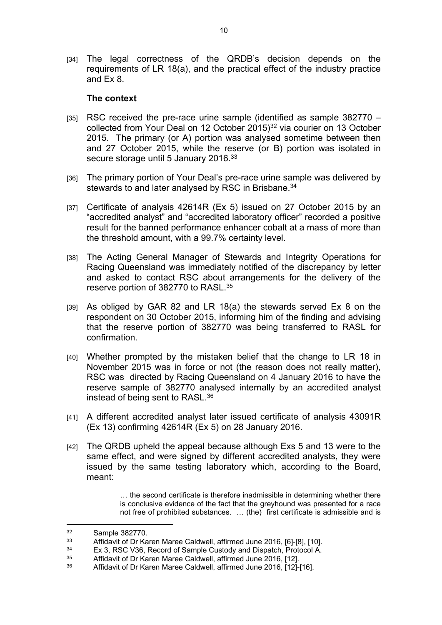[34] The legal correctness of the QRDB's decision depends on the requirements of LR 18(a), and the practical effect of the industry practice and Ex 8.

#### **The context**

- [35] RSC received the pre-race urine sample (identified as sample 382770 collected from Your Deal on 12 October 2015)<sup>32</sup> via courier on 13 October 2015. The primary (or A) portion was analysed sometime between then and 27 October 2015, while the reserve (or B) portion was isolated in secure storage until 5 January 2016.<sup>33</sup>
- [36] The primary portion of Your Deal's pre-race urine sample was delivered by stewards to and later analysed by RSC in Brisbane.<sup>34</sup>
- [37] Certificate of analysis 42614R (Ex 5) issued on 27 October 2015 by an "accredited analyst" and "accredited laboratory officer" recorded a positive result for the banned performance enhancer cobalt at a mass of more than the threshold amount, with a 99.7% certainty level.
- [38] The Acting General Manager of Stewards and Integrity Operations for Racing Queensland was immediately notified of the discrepancy by letter and asked to contact RSC about arrangements for the delivery of the reserve portion of 382770 to RASL.<sup>35</sup>
- [39] As obliged by GAR 82 and LR 18(a) the stewards served Ex 8 on the respondent on 30 October 2015, informing him of the finding and advising that the reserve portion of 382770 was being transferred to RASL for confirmation.
- [40] Whether prompted by the mistaken belief that the change to LR 18 in November 2015 was in force or not (the reason does not really matter), RSC was directed by Racing Queensland on 4 January 2016 to have the reserve sample of 382770 analysed internally by an accredited analyst instead of being sent to RASL.<sup>36</sup>
- [41] A different accredited analyst later issued certificate of analysis 43091R (Ex 13) confirming 42614R (Ex 5) on 28 January 2016.
- [42] The QRDB upheld the appeal because although Exs 5 and 13 were to the same effect, and were signed by different accredited analysts, they were issued by the same testing laboratory which, according to the Board, meant:

… the second certificate is therefore inadmissible in determining whether there is conclusive evidence of the fact that the greyhound was presented for a race not free of prohibited substances. … (the) first certificate is admissible and is

 $\frac{32}{33}$  Sample 382770.

<sup>33</sup> Affidavit of Dr Karen Maree Caldwell, affirmed June 2016, [6]-[8], [10].<br>34 Ey 2, BSC V36, Booord of Sample Cuntedy and Diapateb, Bratecol A

 $34$  Ex 3, RSC V36, Record of Sample Custody and Dispatch, Protocol A.<br> $35$  Affidavit of Dr Karen Maree Caldwell, affirmed June 2016, [12]

<sup>35</sup> Affidavit of Dr Karen Maree Caldwell, affirmed June 2016, [12].

Affidavit of Dr Karen Maree Caldwell, affirmed June 2016, [12]-[16].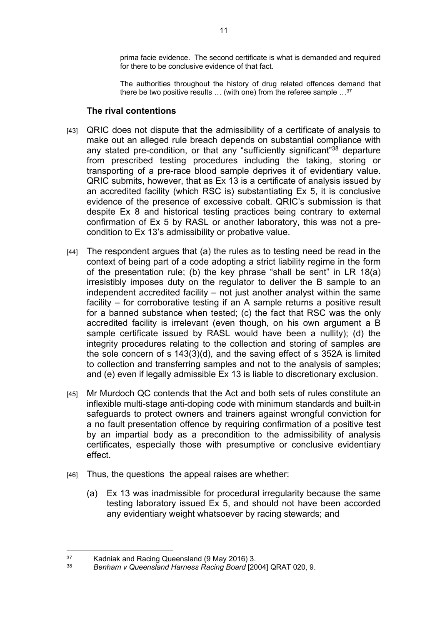prima facie evidence. The second certificate is what is demanded and required for there to be conclusive evidence of that fact.

The authorities throughout the history of drug related offences demand that there be two positive results … (with one) from the referee sample …<sup>37</sup>

#### **The rival contentions**

- [43] QRIC does not dispute that the admissibility of a certificate of analysis to make out an alleged rule breach depends on substantial compliance with any stated pre-condition, or that any "sufficiently significant"<sup>38</sup> departure from prescribed testing procedures including the taking, storing or transporting of a pre-race blood sample deprives it of evidentiary value. QRIC submits, however, that as Ex 13 is a certificate of analysis issued by an accredited facility (which RSC is) substantiating Ex 5, it is conclusive evidence of the presence of excessive cobalt. QRIC's submission is that despite Ex 8 and historical testing practices being contrary to external confirmation of Ex 5 by RASL or another laboratory, this was not a precondition to Ex 13's admissibility or probative value.
- [44] The respondent argues that (a) the rules as to testing need be read in the context of being part of a code adopting a strict liability regime in the form of the presentation rule; (b) the key phrase "shall be sent" in LR 18(a) irresistibly imposes duty on the regulator to deliver the B sample to an independent accredited facility – not just another analyst within the same facility – for corroborative testing if an A sample returns a positive result for a banned substance when tested; (c) the fact that RSC was the only accredited facility is irrelevant (even though, on his own argument a B sample certificate issued by RASL would have been a nullity); (d) the integrity procedures relating to the collection and storing of samples are the sole concern of s 143(3)(d), and the saving effect of s 352A is limited to collection and transferring samples and not to the analysis of samples; and (e) even if legally admissible Ex 13 is liable to discretionary exclusion.
- [45] Mr Murdoch QC contends that the Act and both sets of rules constitute an inflexible multi-stage anti-doping code with minimum standards and built-in safeguards to protect owners and trainers against wrongful conviction for a no fault presentation offence by requiring confirmation of a positive test by an impartial body as a precondition to the admissibility of analysis certificates, especially those with presumptive or conclusive evidentiary effect.
- [46] Thus, the questions the appeal raises are whether:
	- (a) Ex 13 was inadmissible for procedural irregularity because the same testing laboratory issued Ex 5, and should not have been accorded any evidentiary weight whatsoever by racing stewards; and

<sup>&</sup>lt;sup>37</sup> Kadniak and Racing Queensland (9 May 2016) 3.<br><sup>38</sup> Benham v Queensland Harness Bacing Board <sup>120</sup>

<sup>38</sup> *Benham v Queensland Harness Racing Board* [2004] QRAT 020, 9.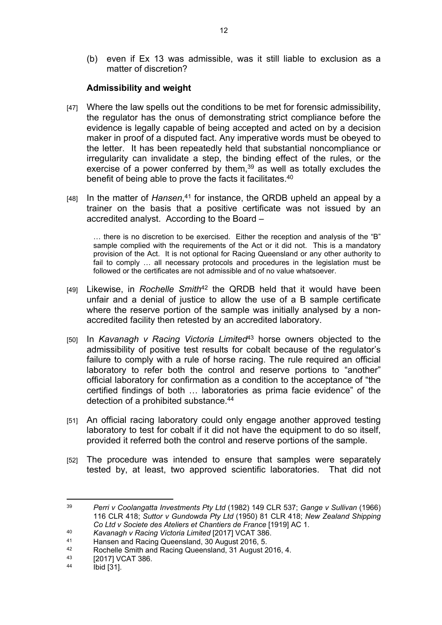(b) even if Ex 13 was admissible, was it still liable to exclusion as a matter of discretion?

# **Admissibility and weight**

- [47] Where the law spells out the conditions to be met for forensic admissibility, the regulator has the onus of demonstrating strict compliance before the evidence is legally capable of being accepted and acted on by a decision maker in proof of a disputed fact. Any imperative words must be obeyed to the letter. It has been repeatedly held that substantial noncompliance or irregularity can invalidate a step, the binding effect of the rules, or the exercise of a power conferred by them,<sup>39</sup> as well as totally excludes the benefit of being able to prove the facts it facilitates.<sup>40</sup>
- [48] In the matter of *Hansen*, <sup>41</sup> for instance, the QRDB upheld an appeal by a trainer on the basis that a positive certificate was not issued by an accredited analyst. According to the Board –

… there is no discretion to be exercised. Either the reception and analysis of the "B" sample complied with the requirements of the Act or it did not. This is a mandatory provision of the Act. It is not optional for Racing Queensland or any other authority to fail to comply … all necessary protocols and procedures in the legislation must be followed or the certificates are not admissible and of no value whatsoever.

- [49] Likewise, in *Rochelle Smith*<sup>42</sup> the QRDB held that it would have been unfair and a denial of justice to allow the use of a B sample certificate where the reserve portion of the sample was initially analysed by a nonaccredited facility then retested by an accredited laboratory.
- [50] In *Kavanagh v Racing Victoria Limited*<sup>43</sup> horse owners objected to the admissibility of positive test results for cobalt because of the regulator's failure to comply with a rule of horse racing. The rule required an official laboratory to refer both the control and reserve portions to "another" official laboratory for confirmation as a condition to the acceptance of "the certified findings of both … laboratories as prima facie evidence" of the detection of a prohibited substance.<sup>44</sup>
- [51] An official racing laboratory could only engage another approved testing laboratory to test for cobalt if it did not have the equipment to do so itself, provided it referred both the control and reserve portions of the sample.
- [52] The procedure was intended to ensure that samples were separately tested by, at least, two approved scientific laboratories. That did not

- <sup>40</sup> *Kavanagh v Racing Victoria Limited* [2017] VCAT 386.
- 41 Hansen and Racing Queensland, 30 August 2016, 5.<br>42 Beebelle Smith and Beeing Queensland, 31 August 2

<sup>39</sup> *Perri v Coolangatta Investments Pty Ltd* (1982) 149 CLR 537; *Gange v Sullivan* (1966) 116 CLR 418; *Suttor v Gundowda Pty Ltd* (1950) 81 CLR 418; *New Zealand Shipping Co Ltd v Societe des Ateliers et Chantiers de France* [1919] AC 1.

<sup>42</sup> Rochelle Smith and Racing Queensland, 31 August 2016, 4.<br>43 [2017]  $VCT$  386

 $^{43}$  [2017] VCAT 386.

 $Ibid [31]$ .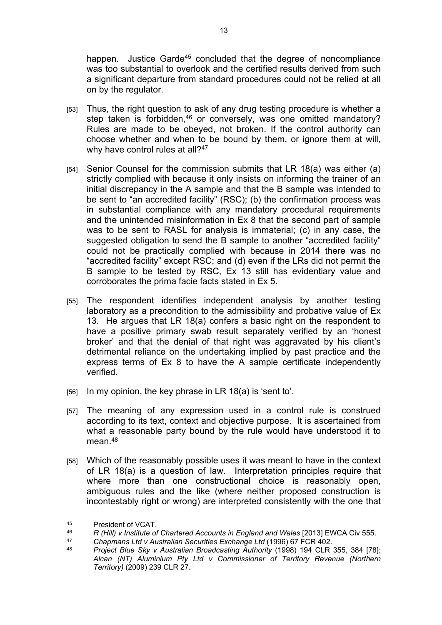happen. Justice Garde<sup>45</sup> concluded that the degree of noncompliance was too substantial to overlook and the certified results derived from such a significant departure from standard procedures could not be relied at all on by the regulator.

- [53] Thus, the right question to ask of any drug testing procedure is whether a step taken is forbidden,<sup>46</sup> or conversely, was one omitted mandatory? Rules are made to be obeyed, not broken. If the control authority can choose whether and when to be bound by them, or ignore them at will, why have control rules at all?<sup>47</sup>
- [54] Senior Counsel for the commission submits that LR 18(a) was either (a) strictly complied with because it only insists on informing the trainer of an initial discrepancy in the A sample and that the B sample was intended to be sent to "an accredited facility" (RSC); (b) the confirmation process was in substantial compliance with any mandatory procedural requirements and the unintended misinformation in Ex 8 that the second part of sample was to be sent to RASL for analysis is immaterial; (c) in any case, the suggested obligation to send the B sample to another "accredited facility" could not be practically complied with because in 2014 there was no "accredited facility" except RSC; and (d) even if the LRs did not permit the B sample to be tested by RSC, Ex 13 still has evidentiary value and corroborates the prima facie facts stated in Ex 5.
- [55] The respondent identifies independent analysis by another testing laboratory as a precondition to the admissibility and probative value of Ex 13. He argues that LR 18(a) confers a basic right on the respondent to have a positive primary swab result separately verified by an 'honest broker' and that the denial of that right was aggravated by his client's detrimental reliance on the undertaking implied by past practice and the express terms of Ex 8 to have the A sample certificate independently verified.
- $[56]$  In my opinion, the key phrase in LR 18(a) is 'sent to'.
- [57] The meaning of any expression used in a control rule is construed according to its text, context and objective purpose. It is ascertained from what a reasonable party bound by the rule would have understood it to mean.<sup>48</sup>
- [58] Which of the reasonably possible uses it was meant to have in the context of LR 18(a) is a question of law. Interpretation principles require that where more than one constructional choice is reasonably open, ambiguous rules and the like (where neither proposed construction is incontestably right or wrong) are interpreted consistently with the one that

<sup>45</sup> President of VCAT.

<sup>46</sup> *R (Hill) v Institute of Chartered Accounts in England and Wales* [2013] EWCA Civ 555.

<sup>47</sup> *Chapmans Ltd v Australian Securities Exchange Ltd* (1996) 67 FCR 402.

<sup>48</sup> *Project Blue Sky v Australian Broadcasting Authority* (1998) 194 CLR 355, 384 [78]; *Alcan (NT) Aluminium Pty Ltd v Commissioner of Territory Revenue (Northern Territory)* (2009) 239 CLR 27.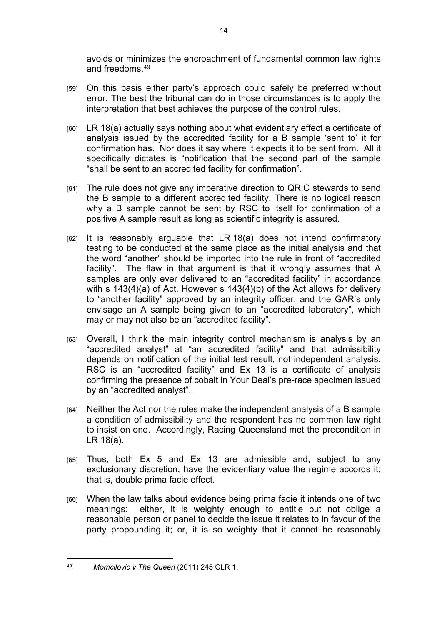avoids or minimizes the encroachment of fundamental common law rights and freedoms.<sup>49</sup>

- [59] On this basis either party's approach could safely be preferred without error. The best the tribunal can do in those circumstances is to apply the interpretation that best achieves the purpose of the control rules.
- [60] LR 18(a) actually says nothing about what evidentiary effect a certificate of analysis issued by the accredited facility for a B sample 'sent to' it for confirmation has. Nor does it say where it expects it to be sent from. All it specifically dictates is "notification that the second part of the sample "shall be sent to an accredited facility for confirmation".
- [61] The rule does not give any imperative direction to QRIC stewards to send the B sample to a different accredited facility. There is no logical reason why a B sample cannot be sent by RSC to itself for confirmation of a positive A sample result as long as scientific integrity is assured.
- [62] It is reasonably arguable that LR 18(a) does not intend confirmatory testing to be conducted at the same place as the initial analysis and that the word "another" should be imported into the rule in front of "accredited facility". The flaw in that argument is that it wrongly assumes that A samples are only ever delivered to an "accredited facility" in accordance with s 143(4)(a) of Act. However s 143(4)(b) of the Act allows for delivery to "another facility" approved by an integrity officer, and the GAR's only envisage an A sample being given to an "accredited laboratory", which may or may not also be an "accredited facility".
- [63] Overall, I think the main integrity control mechanism is analysis by an "accredited analyst" at "an accredited facility" and that admissibility depends on notification of the initial test result, not independent analysis. RSC is an "accredited facility" and Ex 13 is a certificate of analysis confirming the presence of cobalt in Your Deal's pre-race specimen issued by an "accredited analyst".
- [64] Neither the Act nor the rules make the independent analysis of a B sample a condition of admissibility and the respondent has no common law right to insist on one. Accordingly, Racing Queensland met the precondition in LR 18(a).
- [65] Thus, both Ex 5 and Ex 13 are admissible and, subject to any exclusionary discretion, have the evidentiary value the regime accords it; that is, double prima facie effect.
- [66] When the law talks about evidence being prima facie it intends one of two meanings: either, it is weighty enough to entitle but not oblige a reasonable person or panel to decide the issue it relates to in favour of the party propounding it; or, it is so weighty that it cannot be reasonably

<sup>49</sup> *Momcilovic v The Queen* (2011) 245 CLR 1.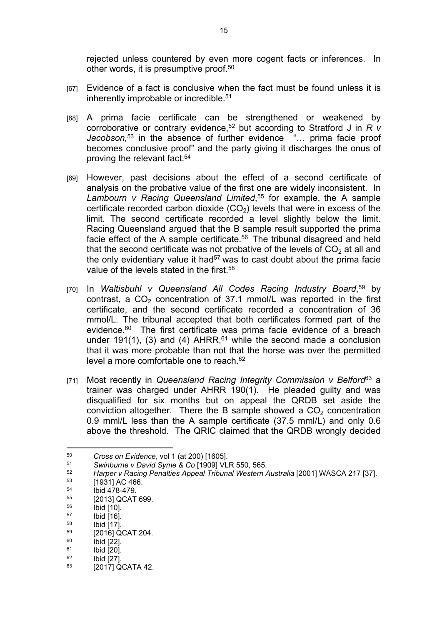rejected unless countered by even more cogent facts or inferences. In other words, it is presumptive proof.<sup>50</sup>

- [67] Evidence of a fact is conclusive when the fact must be found unless it is inherently improbable or incredible.<sup>51</sup>
- [68] A prima facie certificate can be strengthened or weakened by corroborative or contrary evidence,<sup>52</sup> but according to Stratford J in *R v Jacobson,*<sup>53</sup> in the absence of further evidence "… prima facie proof becomes conclusive proof" and the party giving it discharges the onus of proving the relevant fact.<sup>54</sup>
- [69] However, past decisions about the effect of a second certificate of analysis on the probative value of the first one are widely inconsistent. In *Lambourn v Racing Queensland Limited*, <sup>55</sup> for example, the A sample certificate recorded carbon dioxide  $(CO<sub>2</sub>)$  levels that were in excess of the limit. The second certificate recorded a level slightly below the limit. Racing Queensland argued that the B sample result supported the prima facie effect of the A sample certificate.<sup>56</sup> The tribunal disagreed and held that the second certificate was not probative of the levels of  $CO<sub>2</sub>$  at all and the only evidentiary value it had<sup>57</sup> was to cast doubt about the prima facie value of the levels stated in the first.<sup>58</sup>
- [70] In *Waltisbuhl v Queensland All Codes Racing Industry Board*, <sup>59</sup> by contrast, a  $CO<sub>2</sub>$  concentration of 37.1 mmol/L was reported in the first certificate, and the second certificate recorded a concentration of 36 mmol/L. The tribunal accepted that both certificates formed part of the evidence.<sup>60</sup> The first certificate was prima facie evidence of a breach under 191(1), (3) and (4) AHRR, $61$  while the second made a conclusion that it was more probable than not that the horse was over the permitted level a more comfortable one to reach.<sup>62</sup>
- [71] Most recently in *Queensland Racing Integrity Commission v Belford*<sup>63</sup> a trainer was charged under AHRR 190(1). He pleaded guilty and was disqualified for six months but on appeal the QRDB set aside the conviction altogether. There the B sample showed a  $CO<sub>2</sub>$  concentration 0.9 mml/L less than the A sample certificate (37.5 mml/L) and only 0.6 above the threshold. The QRIC claimed that the QRDB wrongly decided

<sup>50</sup> *Cross on Evidence*, vol 1 (at 200) [1605].

<sup>51</sup> *Swinburne v David Syme & Co* [1909] VLR 550, 565.

<sup>52</sup> *Harper v Racing Penalties Appeal Tribunal Western Australia* [2001] WASCA 217 [37].

 $53$  [1931] AC 466.

 $^{54}$  Ibid 478-479.

 $^{55}$  [2013] QCAT 699.

 $\frac{56}{57}$  Ibid [10].

 $\frac{57}{58}$  Ibid [16].

**Ibid [17].** 

 $^{59}$  [2016] QCAT 204.

 $^{60}$   $^{1}$   $^{1}$   $^{1}$   $^{1}$   $^{1}$   $^{1}$   $^{1}$   $^{1}$   $^{1}$   $^{1}$   $^{1}$   $^{1}$   $^{1}$   $^{1}$   $^{1}$   $^{1}$   $^{1}$   $^{1}$   $^{1}$   $^{1}$   $^{1}$   $^{1}$   $^{1}$   $^{1}$   $^{1}$   $^{1}$   $^{1}$   $^{1}$   $^{1}$   $^{1}$   $^{1}$   $^{1}$   $^{1}$   $^{1}$   $^{1}$   $^{1}$ 

 $^{61}$  Ibid  $[20]$ .<br> $^{62}$  Ibid  $[27]$ 

 $^{62}$  Ibid [27].

<sup>[2017]</sup> QCATA 42.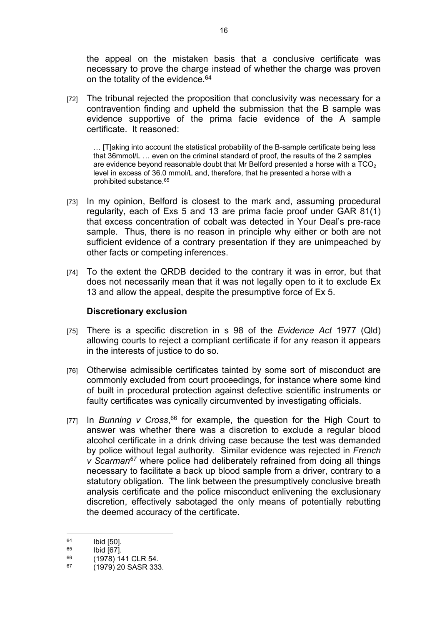the appeal on the mistaken basis that a conclusive certificate was necessary to prove the charge instead of whether the charge was proven on the totality of the evidence.<sup>64</sup>

[72] The tribunal rejected the proposition that conclusivity was necessary for a contravention finding and upheld the submission that the B sample was evidence supportive of the prima facie evidence of the A sample certificate. It reasoned:

… [T]aking into account the statistical probability of the B-sample certificate being less that 36mmol/L … even on the criminal standard of proof, the results of the 2 samples are evidence beyond reasonable doubt that Mr Belford presented a horse with a  $TCO<sub>2</sub>$ level in excess of 36.0 mmol/L and, therefore, that he presented a horse with a prohibited substance.<sup>65</sup>

- [73] In my opinion, Belford is closest to the mark and, assuming procedural regularity, each of Exs 5 and 13 are prima facie proof under GAR 81(1) that excess concentration of cobalt was detected in Your Deal's pre-race sample. Thus, there is no reason in principle why either or both are not sufficient evidence of a contrary presentation if they are unimpeached by other facts or competing inferences.
- [74] To the extent the QRDB decided to the contrary it was in error, but that does not necessarily mean that it was not legally open to it to exclude Ex 13 and allow the appeal, despite the presumptive force of Ex 5.

#### **Discretionary exclusion**

- [75] There is a specific discretion in s 98 of the *Evidence Act* 1977 (Qld) allowing courts to reject a compliant certificate if for any reason it appears in the interests of justice to do so.
- [76] Otherwise admissible certificates tainted by some sort of misconduct are commonly excluded from court proceedings, for instance where some kind of built in procedural protection against defective scientific instruments or faulty certificates was cynically circumvented by investigating officials.
- [77] In *Bunning v Cross*, <sup>66</sup> for example, the question for the High Court to answer was whether there was a discretion to exclude a regular blood alcohol certificate in a drink driving case because the test was demanded by police without legal authority. Similar evidence was rejected in *French v Scarman<sup>67</sup>* where police had deliberately refrained from doing all things necessary to facilitate a back up blood sample from a driver, contrary to a statutory obligation. The link between the presumptively conclusive breath analysis certificate and the police misconduct enlivening the exclusionary discretion, effectively sabotaged the only means of potentially rebutting the deemed accuracy of the certificate.

 $^{64}$  Ibid [50].

 $^{65}$  Ibid [67].

 $^{66}$  (1978) 141 CLR 54.<br>  $^{67}$  (1970) 20 SASP 332

<sup>67</sup> (1979) 20 SASR 333.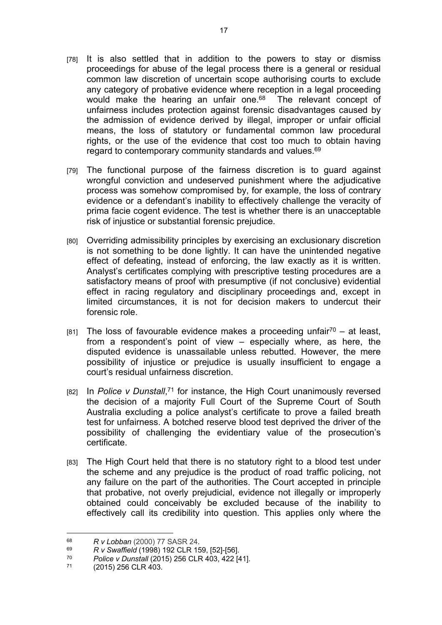- [78] It is also settled that in addition to the powers to stay or dismiss proceedings for abuse of the legal process there is a general or residual common law discretion of uncertain scope authorising courts to exclude any category of probative evidence where reception in a legal proceeding would make the hearing an unfair one.<sup>68</sup> The relevant concept of unfairness includes protection against forensic disadvantages caused by the admission of evidence derived by illegal, improper or unfair official means, the loss of statutory or fundamental common law procedural rights, or the use of the evidence that cost too much to obtain having regard to contemporary community standards and values.<sup>69</sup>
- [79] The functional purpose of the fairness discretion is to guard against wrongful conviction and undeserved punishment where the adjudicative process was somehow compromised by, for example, the loss of contrary evidence or a defendant's inability to effectively challenge the veracity of prima facie cogent evidence. The test is whether there is an unacceptable risk of injustice or substantial forensic prejudice.
- [80] Overriding admissibility principles by exercising an exclusionary discretion is not something to be done lightly. It can have the unintended negative effect of defeating, instead of enforcing, the law exactly as it is written. Analyst's certificates complying with prescriptive testing procedures are a satisfactory means of proof with presumptive (if not conclusive) evidential effect in racing regulatory and disciplinary proceedings and, except in limited circumstances, it is not for decision makers to undercut their forensic role.
- $[81]$  The loss of favourable evidence makes a proceeding unfair<sup>70</sup> at least, from a respondent's point of view – especially where, as here, the disputed evidence is unassailable unless rebutted. However, the mere possibility of injustice or prejudice is usually insufficient to engage a court's residual unfairness discretion.
- [82] In *Police v Dunstall*,<sup>71</sup> for instance, the High Court unanimously reversed the decision of a majority Full Court of the Supreme Court of South Australia excluding a police analyst's certificate to prove a failed breath test for unfairness. A botched reserve blood test deprived the driver of the possibility of challenging the evidentiary value of the prosecution's certificate.
- [83] The High Court held that there is no statutory right to a blood test under the scheme and any prejudice is the product of road traffic policing, not any failure on the part of the authorities. The Court accepted in principle that probative, not overly prejudicial, evidence not illegally or improperly obtained could conceivably be excluded because of the inability to effectively call its credibility into question. This applies only where the

<sup>68</sup> *R v Lobban* (2000) 77 SASR 24*.* 

<sup>69</sup> <sup>69</sup> R v Swaffield (1998) 192 CLR 159, [52]-[56].<br><sup>70</sup> Police v Dunstall (2015) 256 CLR 403, 422 Id

<sup>70</sup> *Police v Dunstall* (2015) 256 CLR 403, 422 [41].

<sup>(2015) 256</sup> CLR 403.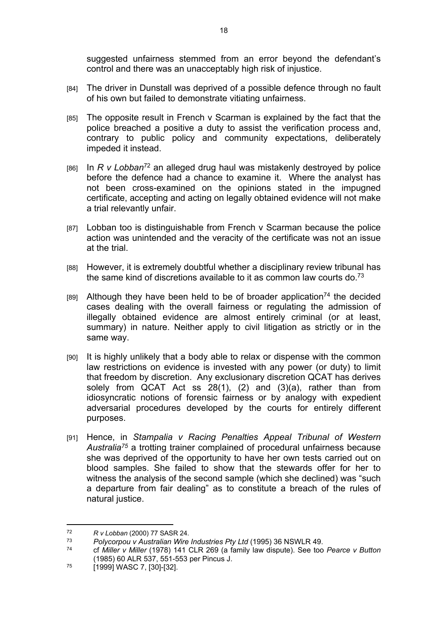suggested unfairness stemmed from an error beyond the defendant's control and there was an unacceptably high risk of injustice.

- [84] The driver in Dunstall was deprived of a possible defence through no fault of his own but failed to demonstrate vitiating unfairness.
- [85] The opposite result in French v Scarman is explained by the fact that the police breached a positive a duty to assist the verification process and, contrary to public policy and community expectations, deliberately impeded it instead.
- [86] In *R v Lobban*<sup>72</sup> an alleged drug haul was mistakenly destroyed by police before the defence had a chance to examine it. Where the analyst has not been cross-examined on the opinions stated in the impugned certificate, accepting and acting on legally obtained evidence will not make a trial relevantly unfair.
- [87] Lobban too is distinguishable from French v Scarman because the police action was unintended and the veracity of the certificate was not an issue at the trial.
- [88] However, it is extremely doubtful whether a disciplinary review tribunal has the same kind of discretions available to it as common law courts do.<sup>73</sup>
- $[89]$  Although they have been held to be of broader application<sup>74</sup> the decided cases dealing with the overall fairness or regulating the admission of illegally obtained evidence are almost entirely criminal (or at least, summary) in nature. Neither apply to civil litigation as strictly or in the same way.
- [90] It is highly unlikely that a body able to relax or dispense with the common law restrictions on evidence is invested with any power (or duty) to limit that freedom by discretion. Any exclusionary discretion QCAT has derives solely from QCAT Act ss 28(1), (2) and (3)(a), rather than from idiosyncratic notions of forensic fairness or by analogy with expedient adversarial procedures developed by the courts for entirely different purposes.
- [91] Hence, in *Stampalia v Racing Penalties Appeal Tribunal of Western Australia<sup>75</sup>* a trotting trainer complained of procedural unfairness because she was deprived of the opportunity to have her own tests carried out on blood samples. She failed to show that the stewards offer for her to witness the analysis of the second sample (which she declined) was "such a departure from fair dealing" as to constitute a breach of the rules of natural justice.

<sup>72</sup> *R v Lobban* (2000) 77 SASR 24.

<sup>73</sup> *Polycorpou v Australian Wire Industries Pty Ltd* (1995) 36 NSWLR 49.

<sup>74</sup> cf *Miller v Miller* (1978) 141 CLR 269 (a family law dispute). See too *Pearce v Button* (1985) 60 ALR 537, 551-553 per Pincus J.

 $75$  [1999] WASC 7, [30]-[32].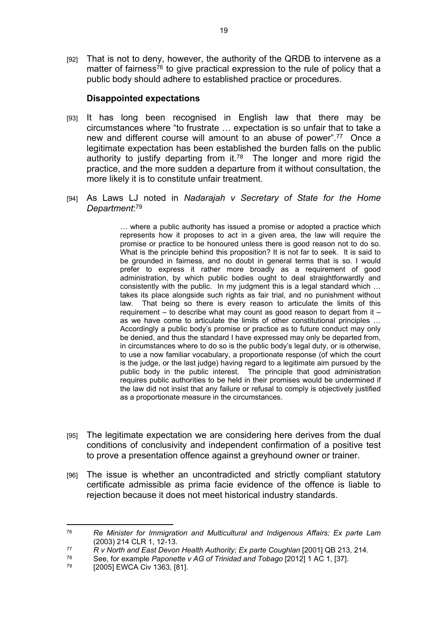[92] That is not to deny, however, the authority of the QRDB to intervene as a matter of fairness<sup>76</sup> to give practical expression to the rule of policy that a public body should adhere to established practice or procedures.

## **Disappointed expectations**

- [93] It has long been recognised in English law that there may be circumstances where "to frustrate … expectation is so unfair that to take a new and different course will amount to an abuse of power".<sup>77</sup> Once a legitimate expectation has been established the burden falls on the public authority to justify departing from it.<sup>78</sup> The longer and more rigid the practice, and the more sudden a departure from it without consultation, the more likely it is to constitute unfair treatment.
- [94] As Laws LJ noted in *Nadarajah v Secretary of State for the Home Department*: 79

… where a public authority has issued a promise or adopted a practice which represents how it proposes to act in a given area, the law will require the promise or practice to be honoured unless there is good reason not to do so. What is the principle behind this proposition? It is not far to seek. It is said to be grounded in fairness, and no doubt in general terms that is so. I would prefer to express it rather more broadly as a requirement of good administration, by which public bodies ought to deal straightforwardly and consistently with the public. In my judgment this is a legal standard which … takes its place alongside such rights as fair trial, and no punishment without law. That being so there is every reason to articulate the limits of this requirement – to describe what may count as good reason to depart from it – as we have come to articulate the limits of other constitutional principles … Accordingly a public body's promise or practice as to future conduct may only be denied, and thus the standard I have expressed may only be departed from, in circumstances where to do so is the public body's legal duty, or is otherwise, to use a now familiar vocabulary, a proportionate response (of which the court is the judge, or the last judge) having regard to a legitimate aim pursued by the public body in the public interest. The principle that good administration requires public authorities to be held in their promises would be undermined if the law did not insist that any failure or refusal to comply is objectively justified as a proportionate measure in the circumstances.

- [95] The legitimate expectation we are considering here derives from the dual conditions of conclusivity and independent confirmation of a positive test to prove a presentation offence against a greyhound owner or trainer.
- [96] The issue is whether an uncontradicted and strictly compliant statutory certificate admissible as prima facie evidence of the offence is liable to rejection because it does not meet historical industry standards.

<sup>76</sup> *Re Minister for Immigration and Multicultural and Indigenous Affairs; Ex parte Lam*  (2003) 214 CLR 1, 12-13.

<sup>&</sup>lt;sup>77</sup> *R v North and East Devon Health Authority; Ex parte Coughlan* [2001] QB 213, 214.

<sup>78</sup> See, for example *Paponette v AG of Trinidad and Tobago* [2012] 1 AC 1, [37].

<sup>[2005]</sup> EWCA Civ 1363, [81].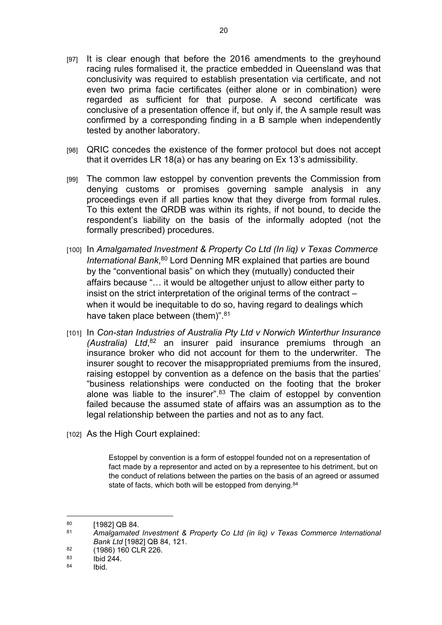- [97] It is clear enough that before the 2016 amendments to the greyhound racing rules formalised it, the practice embedded in Queensland was that conclusivity was required to establish presentation via certificate, and not even two prima facie certificates (either alone or in combination) were regarded as sufficient for that purpose. A second certificate was conclusive of a presentation offence if, but only if, the A sample result was confirmed by a corresponding finding in a B sample when independently tested by another laboratory.
- [98] QRIC concedes the existence of the former protocol but does not accept that it overrides LR 18(a) or has any bearing on Ex 13's admissibility.
- [99] The common law estoppel by convention prevents the Commission from denying customs or promises governing sample analysis in any proceedings even if all parties know that they diverge from formal rules. To this extent the QRDB was within its rights, if not bound, to decide the respondent's liability on the basis of the informally adopted (not the formally prescribed) procedures.
- [100] In *Amalgamated Investment & Property Co Ltd (In liq) v Texas Commerce International Bank*, <sup>80</sup> Lord Denning MR explained that parties are bound by the "conventional basis" on which they (mutually) conducted their affairs because "… it would be altogether unjust to allow either party to insist on the strict interpretation of the original terms of the contract – when it would be inequitable to do so, having regard to dealings which have taken place between (them)".<sup>81</sup>
- [101] In *Con-stan Industries of Australia Pty Ltd v Norwich Winterthur Insurance (Australia) Ltd*, <sup>82</sup> an insurer paid insurance premiums through an insurance broker who did not account for them to the underwriter. The insurer sought to recover the misappropriated premiums from the insured, raising estoppel by convention as a defence on the basis that the parties' "business relationships were conducted on the footing that the broker alone was liable to the insurer".<sup>83</sup> The claim of estoppel by convention failed because the assumed state of affairs was an assumption as to the legal relationship between the parties and not as to any fact.
- [102] As the High Court explained:

Estoppel by convention is a form of estoppel founded not on a representation of fact made by a representor and acted on by a representee to his detriment, but on the conduct of relations between the parties on the basis of an agreed or assumed state of facts, which both will be estopped from denying.<sup>84</sup>

 $^{80}$  [1982] QB 84.

<sup>81</sup> *Amalgamated Investment & Property Co Ltd (in liq) v Texas Commerce International Bank Ltd* [1982] QB 84, 121.

 $\frac{82}{83}$  (1986) 160 CLR 226.

 $\begin{array}{cc}\n 83 \text{} & \text{Ibid } 244.\n \end{array}$ 

**Ibid.**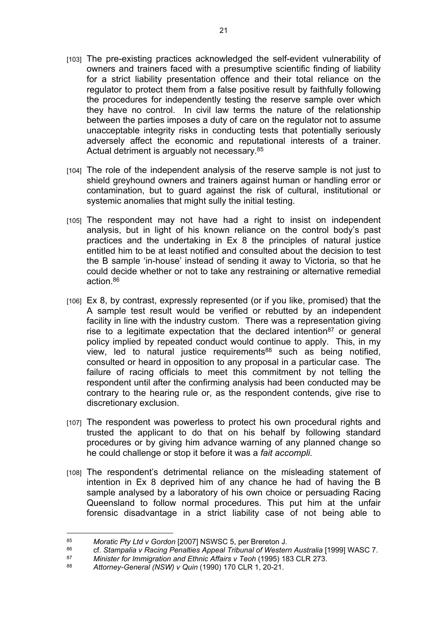- [103] The pre-existing practices acknowledged the self-evident vulnerability of owners and trainers faced with a presumptive scientific finding of liability for a strict liability presentation offence and their total reliance on the regulator to protect them from a false positive result by faithfully following the procedures for independently testing the reserve sample over which they have no control. In civil law terms the nature of the relationship between the parties imposes a duty of care on the regulator not to assume unacceptable integrity risks in conducting tests that potentially seriously adversely affect the economic and reputational interests of a trainer. Actual detriment is arguably not necessary.<sup>85</sup>
- [104] The role of the independent analysis of the reserve sample is not just to shield greyhound owners and trainers against human or handling error or contamination, but to guard against the risk of cultural, institutional or systemic anomalies that might sully the initial testing.
- [105] The respondent may not have had a right to insist on independent analysis, but in light of his known reliance on the control body's past practices and the undertaking in Ex 8 the principles of natural justice entitled him to be at least notified and consulted about the decision to test the B sample 'in-house' instead of sending it away to Victoria, so that he could decide whether or not to take any restraining or alternative remedial action 86
- [106] Ex 8, by contrast, expressly represented (or if you like, promised) that the A sample test result would be verified or rebutted by an independent facility in line with the industry custom. There was a representation giving rise to a legitimate expectation that the declared intention<sup>87</sup> or general policy implied by repeated conduct would continue to apply. This, in my view, led to natural justice requirements<sup>88</sup> such as being notified, consulted or heard in opposition to any proposal in a particular case. The failure of racing officials to meet this commitment by not telling the respondent until after the confirming analysis had been conducted may be contrary to the hearing rule or, as the respondent contends, give rise to discretionary exclusion.
- [107] The respondent was powerless to protect his own procedural rights and trusted the applicant to do that on his behalf by following standard procedures or by giving him advance warning of any planned change so he could challenge or stop it before it was a *fait accompli.*
- [108] The respondent's detrimental reliance on the misleading statement of intention in Ex 8 deprived him of any chance he had of having the B sample analysed by a laboratory of his own choice or persuading Racing Queensland to follow normal procedures. This put him at the unfair forensic disadvantage in a strict liability case of not being able to

<sup>85</sup> *Moratic Pty Ltd v Gordon* [2007] NSWSC 5, per Brereton J.

<sup>86</sup> cf. *Stampalia v Racing Penalties Appeal Tribunal of Western Australia* [1999] WASC 7.<br>87 Minister for Immigration and Ethnic Affairs v Teoh (1995) 183 CLB 273.

<sup>87</sup> *Minister for Immigration and Ethnic Affairs v Teoh* (1995) 183 CLR 273.

<sup>88</sup> *Attorney-General (NSW) v Quin* (1990) 170 CLR 1, 20-21.